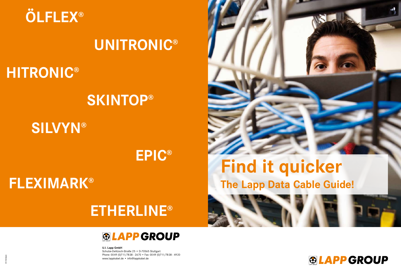# **The Lapp Data Cable Guide! Find it quicker**



**U.I. Lapp GmbH** Schulze-Delitzsch-Straße 25 • D-70565 Stuttgart Phone: 0049 (0)711/7838 - 2670 • Fax: 0049 (0)711/7838 - 4920 www.lappkabel.de • info@lappkabel.de



1110564 91110564





# **UNITRONIC®**

# **HITRONIC®**

# **SKINTOP®**

**EPIC®**

**SILVYN®**

# **FLEXIMARK®**

# **ETHERLINE®**

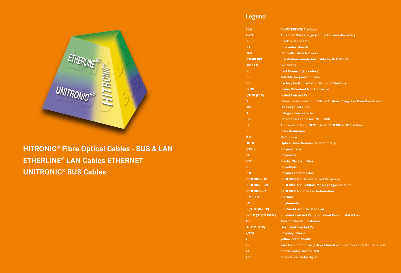## **Legend**



- 
- **AWG American Wire Gauge (coding for wire diameter)**
	-
	-
	-
- **COMBI IBS Installation remote bus cable for INTERBUS**
	-
	-
	-
- **FIP Factory Instrumentation Protocol Fieldbus**
	-
	-
- **G rubber outer sheath (EPDM Ethylene Propylene Dien Caoutchouc)**
	-
	-
	-
- **L2 Abbrevation for SINEC® L2-DP PROFIBUS-DP Fieldbus**
	-
	-
- **ODTR Optical Time Domain Reflectometry**
	-
	-
	-
	-
	-
- **PROFIBUS-DP PROFIBUS for Decentralized Periphery**
- **PROFIBUS-FMS PROFIBUS for Fieldbus Message Specification**
- **PROFIBUS-PA PROFIBUS for Process Automation**
	-
	-
	-
- **S/FTP (STP/S PiMF) Shielded Twisted Pair / Shielded Pairs in Metal Foil**
	-
	-
	-
	-
- **Yv wire for outdoor use / direct burial with reinforced PVC outer sheath**
	-
	-

**AS-i AS-INTERFACE Fieldbus BK black outer sheath BU blue outer sheath CAN Controller Area Network DUPLEX two fibres FC Fast Connect (screwless) FD suitable for power chains FRNC Flame Retardant Non Corrosive F/UTP (FTP) Foiled Twisted Pair GOF Glass Optical Fibre H halogen free material IBS Remote bus cable for INTERBUS LD low attenuation MM Multimode P/PUR Polyurethane PA Polyamide PCF Plastic Cladded Fibre PE Polyethylen POF Polymer Optical Fibre SIMPLEX one fibre SM Singlemode SF/UTP (S-FTP) Shielded-Folied Twisted Pair TPE Thermo Plastic Elastomer U/UTP (UTP) Unshieled Twisted Pair Y/PVC Polyvinylchlorid YE yellow outer sheath YY double outer sheath PVC XPE cross linked Polyethylen**

# **HITRONIC® Fibre Optical Cables - BUS & LAN ETHERLINE® LAN Cables ETHERNET UNITRONIC® BUS Cables**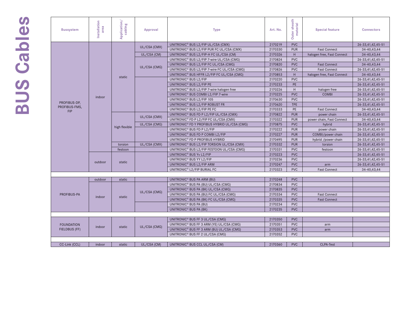# BUS Cables **BUS Cables**

| <b>Bussystem</b>              | Installation<br>area | Application/<br>cabling | <b>Approval</b> | <b>Type</b>                                              | Art. No. | Outer sheath<br>material | <b>Special feature</b>     | <b>Connectors</b> |
|-------------------------------|----------------------|-------------------------|-----------------|----------------------------------------------------------|----------|--------------------------|----------------------------|-------------------|
|                               |                      |                         |                 | UNITRONIC <sup>®</sup> BUS L2/FIP UL/CSA (CMX)           | 2170219  | <b>PVC</b>               |                            | 26-33,41,42,45-51 |
|                               |                      |                         | UL/CSA (CMX)    | UNITRONIC <sup>®</sup> BUS L2/FIP PUR FC UL/CSA (CMX)    | 2170330  | <b>PUR</b>               | <b>Fast Connect</b>        | 34-40,43,44       |
|                               |                      |                         | UL/CSA (CM)     | UNITRONIC <sup>®</sup> BUS L2/FIP-H FC UL/CSA (CM)       | 2170326  | H.                       | halogen free, Fast Connect | 34-40,43,44       |
|                               |                      |                         |                 | UNITRONIC <sup>®</sup> BUS L2/FIP 7-wire UL/CSA (CMG)    | 2170824  | <b>PVC</b>               |                            | 26-33,41,42,45-51 |
|                               |                      |                         |                 | UNITRONIC <sup>®</sup> BUS L2/FIP FC UL/CSA (CMG)        | 2170820  | <b>PVC</b>               | <b>Fast Connect</b>        | 34-40,43,44       |
|                               |                      |                         | UL/CSA (CMG)    | UNITRONIC® BUS L2/FIP 7-wire FC UL/CSA (CMG)             | 2170826  | <b>PVC</b>               | <b>Fast Connect</b>        | 26-33,41,42,45-51 |
|                               |                      |                         |                 | UNITRONIC <sup>®</sup> BUS HFFR L2/FIP FC UL/CSA (CMG)   | 2170853  | H                        | halogen free, Fast Connect | 34-40,43,44       |
|                               |                      | static                  |                 | UNITRONIC <sup>®</sup> BUS L2/FIP                        | 2170220  | <b>PVC</b>               |                            | 26-33,41,42,45-51 |
|                               |                      |                         |                 | UNITRONIC <sup>®</sup> BUS L2/FIP PE                     | 2170233  | <b>PE</b>                |                            | 26-33,41,42,45-51 |
|                               |                      |                         |                 | UNITRONIC <sup>®</sup> BUS L2/FIP 7-wire halogen free    | 2170226  | H.                       | halogen free               | 26-33,41,42,45-51 |
|                               | indoor               |                         |                 | UNITRONIC <sup>®</sup> BUS COMBI L2/FIP 7-wire           | 2170225  | <b>PVC</b>               | <b>COMBI</b>               | 26-33,41,42,45-51 |
|                               |                      |                         |                 | UNITRONIC <sup>®</sup> BUS L2/FIP 105                    | 2170630  | <b>PVC</b>               |                            | 26-33,41,42,45-51 |
| PROFIBUS-DP,<br>PROFIBUS-FMS, |                      |                         |                 | UNITRONIC <sup>®</sup> BUS L2/FIP ROBUST FR              | 2170620  | <b>TPE</b>               |                            | 26-33,41,42,45-51 |
| <b>FIP</b>                    |                      |                         |                 | UNITRONIC <sup>®</sup> BUS L2/FIP PE FC                  | 2170333  | <b>PE</b>                | <b>Fast Connect</b>        | 34-40,43,44       |
|                               |                      |                         | UL/CSA (CMX)    | UNITRONIC <sup>®</sup> BUS FD P L2/FIP UL/CSA (CMX)      | 2170822  | <b>PUR</b>               | power chain                | 26-33,41,42,45-51 |
|                               |                      |                         |                 | UNITRONIC <sup>®</sup> FD P L2/FIP FC UL/CSA (CMX)       | 2170322  | PUR                      | power chain, Fast Connect  | 34-40,43,44       |
|                               |                      | high flexible           | UL/CSA (CMG)    | UNITRONIC <sup>®</sup> FD Y PROFIBUS HYBRID UL/CSA (CMG) | 2170875  | <b>PVC</b>               | hybrid                     | 26-33,41,42,45-51 |
|                               |                      |                         |                 | UNITRONIC <sup>®</sup> BUS FD P L2/FIP                   | 2170222  | PUR                      | power chain                | 26-33,41,42,45-51 |
|                               |                      |                         |                 | UNITRONIC <sup>®</sup> BUS FD P COMBI L2/FIP             | 2170227  | <b>PUR</b>               | COMBI/power chain          | 26-33,41,42,45-51 |
|                               |                      |                         |                 | UNITRONIC <sup>®</sup> FD P PROFIBUS HYBRID              | 2170495  | <b>PUR</b>               | hybrid /power chain        | 26-33,41,42,45-51 |
|                               |                      | torsion                 | UL/CSA (CMX)    | UNITRONIC <sup>®</sup> BUS L2/FIP TORSION UL/CSA (CMX)   | 2170332  | <b>PUR</b>               | torsion                    | 26-33,41,42,45-51 |
|                               |                      | festoon                 |                 | UNITRONIC <sup>®</sup> BUS L2/FIP FESTOON UL/CSA (CMG)   | 2170331  | <b>PVC</b>               | festoon                    | 26-33,41,42,45-51 |
|                               |                      |                         |                 | UNITRONIC <sup>®</sup> BUS Yv L2/FIP                     | 2170223  | <b>PVC</b>               |                            | 26-33,41,42,45-51 |
|                               | outdoor              | static                  |                 | UNITRONIC <sup>®</sup> BUS YY L2/FIP                     | 2170236  | <b>PVC</b>               |                            | 26-33,41,42,45-51 |
|                               |                      |                         |                 | UNITRONIC <sup>®</sup> BUS L2/FIP ARM                    | 2170247  | <b>PVC</b>               | arm                        | 26-33,41,42,45-51 |
|                               |                      |                         |                 | UNITRONIC <sup>®</sup> L2/FIP BURIAL FC                  | 2170323  | <b>PVC</b>               | <b>Fast Connect</b>        | 34-40,43,44       |
|                               |                      |                         |                 |                                                          |          |                          |                            |                   |
|                               | outdoor              | static                  |                 | UNITRONIC <sup>®</sup> BUS PA ARM (BU)                   | 2170248  | <b>PVC</b>               |                            |                   |
|                               |                      |                         |                 | UNITRONIC <sup>®</sup> BUS PA (BU) UL/CSA (CMG)          | 2170834  | <b>PVC</b>               |                            |                   |
|                               |                      |                         | UL/CSA (CMG)    | UNITRONIC <sup>®</sup> BUS PA (BK) UL/CSA (CMG)          | 2170835  | <b>PVC</b>               |                            |                   |
| PROFIBUS-PA                   | indoor               | static                  |                 | UNITRONIC <sup>®</sup> BUS PA (BU) FC UL/CSA (CMG)       | 2170334  | <b>PVC</b>               | <b>Fast Connect</b>        |                   |
|                               |                      |                         |                 | UNITRONIC <sup>®</sup> BUS PA (BK) FC UL/CSA (CMG)       | 2170335  | <b>PVC</b>               | <b>Fast Connect</b>        |                   |
|                               |                      |                         |                 | UNITRONIC <sup>®</sup> BUS PA (BU)                       | 2170234  | <b>PVC</b>               |                            |                   |
|                               |                      |                         |                 | UNITRONIC <sup>®</sup> BUS PA (BK)                       | 2170235  | <b>PVC</b>               |                            |                   |
|                               |                      |                         |                 |                                                          |          |                          |                            |                   |
|                               |                      |                         |                 | UNITRONIC <sup>®</sup> BUS FF 3 UL/CSA (CMG)             | 2170350  | <b>PVC</b>               |                            |                   |
| <b>FOUNDATION</b>             | indoor               | static                  | UL/CSA (CMG)    | UNITRONIC <sup>®</sup> BUS FF 3 ARM (YE) UL/CSA (CMG)    | 2170351  | <b>PVC</b>               | arm                        |                   |
| FIELDBUS (FF)                 |                      |                         |                 | UNITRONIC <sup>®</sup> BUS FF 3 ARM (BU) UL/CSA (CMG)    | 2170353  | <b>PVC</b>               | arm                        |                   |
|                               |                      |                         |                 | UNITRONIC <sup>®</sup> BUS FF 2 UL/CSA (CMG)             | 2170352  | <b>PVC</b>               |                            |                   |
|                               |                      |                         |                 |                                                          |          |                          |                            |                   |
| CC-Link (CCL)                 | indoor               | static                  | UL/CSA (CM)     | UNITRONIC <sup>®</sup> BUS CCL UL/CSA (CM)               | 2170360  | <b>PVC</b>               | CLPA-Test                  |                   |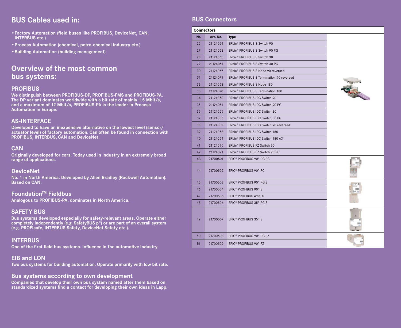# **BUS Cables used in:**

- **•Factory Automation (field buses like PROFIBUS, DeviceNet, CAN, INTERBUS etc.)**
- **•Process Automation (chemical, petro-chemical industry etc.)**
- **•Building Automation (building management)**

## **Overview of the most common bus systems:**

#### **PROFIBUS**

**We distinguish between PROFIBUS-DP, PROFIBUS-FMS and PROFIBUS-PA. The DP variant dominates worldwide with a bit rate of mainly 1.5 Mbit/s, and a maximum of 12 Mbit/s, PROFIBUS-PA is the leader in Process Automation in Europe.**

#### **AS-INTERFACE**

**Developed to have an inexpensive alternative on the lowest level (sensor/ actuator level) of factory automation. Can often be found in connection with PROFIBUS, INTERBUS, CAN and DeviceNet.**

#### **CAN**

**Originally developed for cars. Today used in industry in an extremely broad range of applications.**

#### **DeviceNet**

**No. 1 in North America. Developed by Allen Bradley (Rockwell Automation). Based on CAN.**

#### **Foundation™ Fieldbus**

**Analogous to PROFIBUS-PA, dominates in North America.** 

#### **SAFETY BUS**

**Bus systems developed especially for safety-relevant areas. Operate either completely independently (e.g. SafetyBUS p®) or are part of an overall system (e.g. PROFIsafe, INTERBUS Safety, DeviceNet Safety etc.).**

#### **INTERBUS**

**One of the first field bus systems. Influence in the automotive industry.** 

#### **EIB and LON**

**Two bus systems for building automation. Operate primarily with low bit rate.**

#### **Bus systems according to own development**

**Companies that develop their own bus system named after them based on standardized systems find a contact for developing their own ideas in Lapp.** 

#### **BUS Connectors**

| <b>Connectors</b> |          |                                                    |  |
|-------------------|----------|----------------------------------------------------|--|
| Nr.               | Art. No. | <b>Type</b>                                        |  |
| 26                | 21124064 | ERbic <sup>®</sup> PROFIBUS S Switch 90            |  |
| 27                | 21124063 | ERbic® PROFIBUS S Switch 90 PG                     |  |
| 28                | 21124060 | ERbic <sup>®</sup> PROFIBUS S Switch 30            |  |
| 29                | 21124061 | ERbic® PROFIBUS S Switch 30 PG                     |  |
| 30                | 21124067 | ERbic® PROFIBUS S Node 90 reversed                 |  |
| 31                | 21124071 | ERbic® PROFIBUS S Termination 90 reversed          |  |
| 32                | 21124068 | ERbic <sup>®</sup> PROFIBUS S Node 180             |  |
| 33                | 21124070 | ERbic <sup>®</sup> PROFIBUS S Termination 180      |  |
| 34                | 21124050 | ERbic <sup>®</sup> PROFIBUS IDC Switch 90          |  |
| 35                | 21124051 | ERbic <sup>®</sup> PROFIBUS IDC Switch 90 PG       |  |
| 36                | 21124055 | ERbic <sup>®</sup> PROFIBUS IDC Switch 30          |  |
| 37                | 21124056 | ERbic® PROFIBUS IDC Switch 30 PG                   |  |
| 38                | 21124052 | ERbic <sup>®</sup> PROFIBUS IDC Switch 90 reversed |  |
| 39                | 21124053 | ERbic <sup>®</sup> PROFIBUS IDC Switch 180         |  |
| 40                | 21124054 | ERbic® PROFIBUS IDC Switch 180 AX                  |  |
| 41                | 21124090 | ERbic <sup>®</sup> PROFIBUS FZ Switch 90           |  |
| 42                | 21124091 | ERbic® PROFIBUS FZ Switch 90 PG                    |  |
| 43                | 21700501 | EPIC <sup>®</sup> PROFIBUS 90° PG FC               |  |
| 44                | 21700502 | EPIC <sup>®</sup> PROFIBUS 90° FC                  |  |
| 45                | 21700503 | EPIC <sup>®</sup> PROFIBUS 90° PG S                |  |
| 46                | 21700504 | EPIC <sup>®</sup> PROFIBUS 90° S                   |  |
| 47                | 21700505 | EPIC <sup>®</sup> PROFIBUS Axial S                 |  |
| 48                | 21700506 | EPIC <sup>®</sup> PROFIBUS 35° PG S                |  |
| 49                | 21700507 | EPIC <sup>®</sup> PROFIBUS 35° S                   |  |
| 50                | 21700508 | EPIC <sup>®</sup> PROFIBUS 90° PG FZ               |  |
| 51                | 21700509 | EPIC <sup>®</sup> PROFIBUS 90° FZ                  |  |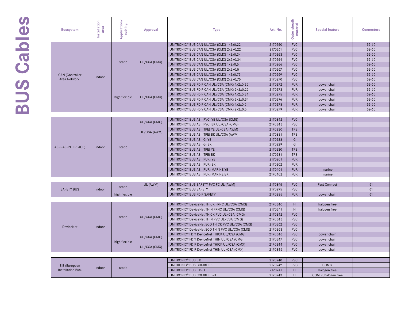# BUS Cables **BUS Cables**

| <b>Bussystem</b>       | Installation<br>area | Application/<br>cabling | Approval     | <b>Type</b>                                                 | Art. No. | Outer sheath<br>material | <b>Special feature</b> | <b>Connectors</b> |
|------------------------|----------------------|-------------------------|--------------|-------------------------------------------------------------|----------|--------------------------|------------------------|-------------------|
|                        |                      |                         |              | UNITRONIC® BUS CAN UL/CSA (CMX) 1x2x0,22                    | 2170260  | <b>PVC</b>               |                        | $52 - 60$         |
|                        |                      |                         |              | UNITRONIC <sup>®</sup> BUS CAN UL/CSA (CMX) 2x2x0,22        | 2170261  | <b>PVC</b>               |                        | $52 - 60$         |
|                        |                      |                         | UL/CSA (CMX) | UNITRONIC <sup>®</sup> BUS CAN UL/CSA (CMX) 1x2x0,34        | 2170263  | <b>PVC</b>               |                        | $52 - 60$         |
|                        |                      |                         |              | UNITRONIC <sup>®</sup> BUS CAN UL/CSA (CMX) 2x2x0,34        | 2170264  | <b>PVC</b>               |                        | $52 - 60$         |
|                        |                      | static                  |              | UNITRONIC <sup>®</sup> BUS CAN UL/CSA (CMX) 1x2x0,5         | 2170266  | <b>PVC</b>               |                        | $52 - 60$         |
|                        |                      |                         |              | UNITRONIC <sup>®</sup> BUS CAN UL/CSA (CMX) 2x2x0,5         | 2170267  | <b>PVC</b>               |                        | $52 - 60$         |
| <b>CAN</b> (Controller |                      |                         |              | UNITRONIC <sup>®</sup> BUS CAN UL/CSA (CMX) 1x2x0,75        | 2170269  | <b>PVC</b>               |                        | $52 - 60$         |
| Area Network)          | indoor               |                         |              | UNITRONIC <sup>®</sup> BUS CAN UL/CSA (CMX) 2x2x0,75        | 2170270  | <b>PVC</b>               |                        | $52 - 60$         |
|                        |                      |                         |              | UNITRONIC <sup>®</sup> BUS FD P CAN UL/CSA (CMX) 1x2x0,25   | 2170272  | <b>PUR</b>               | power chain            | $52 - 60$         |
|                        |                      |                         |              | UNITRONIC <sup>®</sup> BUS FD P CAN UL/CSA (CMX) 2x2x0,25   | 2170273  | <b>PUR</b>               | power chain            | $52 - 60$         |
|                        |                      | high flexible           | UL/CSA (CMX) | UNITRONIC <sup>®</sup> BUS FD P CAN UL/CSA (CMX) 1x2x0,34   | 2170275  | <b>PUR</b>               | power chain            | $52 - 60$         |
|                        |                      |                         |              | UNITRONIC <sup>®</sup> BUS FD P CAN UL/CSA (CMX) 2x2x0,34   | 2170276  | <b>PUR</b>               | power chain            | $52 - 60$         |
|                        |                      |                         |              | UNITRONIC <sup>®</sup> BUS FD P CAN UL/CSA (CMX) 1x2x0,5    | 2170278  | <b>PUR</b>               | power chain            | $52 - 60$         |
|                        |                      |                         |              | UNITRONIC <sup>®</sup> BUS FD Y CAN UL/CSA (CMX) 2x2x0,5    | 2170279  | <b>PUR</b>               | power chain            | $52 - 60$         |
|                        |                      |                         |              |                                                             |          |                          |                        |                   |
|                        |                      |                         | UL/CSA (CMG) | UNITRONIC <sup>®</sup> BUS ASI (PVC) YE UL/CSA (CMG)        | 2170842  | <b>PVC</b>               |                        |                   |
|                        |                      |                         |              | UNITRONIC <sup>®</sup> BUS ASI (PVC) BK UL/CSA (CMG)        | 2170843  | <b>PVC</b>               |                        |                   |
|                        |                      |                         | UL/CSA (AWM) | UNITRONIC® BUS ASI (TPE) YE UL/CSA (AWM)                    | 2170830  | <b>TPE</b>               |                        |                   |
|                        |                      |                         |              | UNITRONIC® BUS ASI (TPE) BK UL/CSA (AWM)                    | 2170831  | <b>TPE</b>               |                        |                   |
|                        |                      |                         |              | UNITRONIC <sup>®</sup> BUS ASI (G) YE                       | 2170228  | G                        |                        |                   |
| AS-i (AS-INTERFACE)    | indoor               | static                  |              | UNITRONIC <sup>®</sup> BUS ASI (G) BK                       | 2170229  | G                        |                        |                   |
|                        |                      |                         |              | UNITRONIC <sup>®</sup> BUS ASI (TPE) YE                     | 2170230  | <b>TPE</b>               |                        |                   |
|                        |                      |                         |              | UNITRONIC <sup>®</sup> BUS ASI (TPE) BK                     | 2170231  | <b>TPE</b>               |                        |                   |
|                        |                      |                         |              | UNITRONIC <sup>®</sup> BUS ASI (PUR) YE                     | 2170201  | <b>PUR</b>               |                        |                   |
|                        |                      |                         |              | UNITRONIC <sup>®</sup> BUS ASI (PUR) BK                     | 2170202  | <b>PUR</b>               |                        |                   |
|                        |                      |                         |              | UNITRONIC <sup>®</sup> BUS ASI (PUR) MARINE YE              | 2170401  | <b>PUR</b>               | marine                 |                   |
|                        |                      |                         |              | UNITRONIC <sup>®</sup> BUS ASI (PUR) MARINE BK              | 2170402  | <b>PUR</b>               | marine                 |                   |
|                        |                      |                         |              |                                                             |          |                          |                        |                   |
|                        |                      | static                  | UL (AWM)     | UNITRONIC® BUS SAFETY PVC FC UL (AWM)                       | 2170895  | <b>PVC</b>               | <b>Fast Connect</b>    | 61                |
| <b>SAFETY BUS</b>      | indoor               |                         |              | UNITRONIC <sup>®</sup> BUS SAFETY                           | 2170295  | <b>PVC</b>               |                        | 61                |
|                        |                      | high flexible           |              | UNITRONIC <sup>®</sup> BUS FD P SAFETY                      | 2170885  | <b>PUR</b>               | power chain            | 61                |
|                        |                      |                         |              |                                                             |          |                          |                        |                   |
|                        |                      |                         |              | UNITRONIC® DeviceNet THICK FRNC UL/CSA (CMG)                | 2170340  | H.                       | halogen free           |                   |
|                        |                      |                         |              | UNITRONIC <sup>®</sup> DeviceNet THIN FRNC UL/CSA (CMG)     | 2170341  | H                        | halogen free           |                   |
|                        |                      | static                  | UL/CSA (CMG) | UNITRONIC <sup>®</sup> DeviceNet THICK PVC UL/CSA (CMG)     | 2170342  | <b>PVC</b>               |                        |                   |
|                        |                      |                         |              | UNITRONIC® DeviceNet THIN PVC UL/CSA (CMG)                  | 2170343  | <b>PVC</b>               |                        |                   |
| <b>DeviceNet</b>       | indoor               |                         |              | UNITRONIC <sup>®</sup> DeviceNet ECO THICK PVC UL/CSA (CMG) | 2170362  | <b>PVC</b>               |                        |                   |
|                        |                      |                         |              | UNITRONIC® DeviceNet ECO THIN PVC UL/CSA (CMG)              | 2170363  | <b>PVC</b>               |                        |                   |
|                        |                      |                         | UL/CSA (CMG) | UNITRONIC® FD Y DeviceNet THICK UL/CSA (CMG)                | 2170346  | <b>PVC</b>               | power chain            |                   |
|                        |                      | high flexible           |              | UNITRONIC® FD Y DeviceNet THIN UL/CSA (CMG)                 | 2170347  | <b>PVC</b>               | power chain            |                   |
|                        |                      |                         | UL/CSA (CMX) | UNITRONIC <sup>®</sup> FD P DeviceNet THICK UL/CSA (CMX)    | 2170344  | <b>PVC</b>               | power chain            |                   |
|                        |                      |                         |              | UNITRONIC <sup>®</sup> FD P DeviceNet THIN UL/CSA (CMX)     | 2170345  | <b>PVC</b>               | power chain            |                   |
|                        |                      |                         |              |                                                             |          |                          |                        |                   |
|                        |                      |                         |              | UNITRONIC <sup>®</sup> BUS EIB                              | 2170240  | <b>PVC</b>               |                        |                   |
| EIB (European          | indoor               | static                  |              | UNITRONIC <sup>®</sup> BUS COMBI EIB                        | 2170242  | <b>PVC</b>               | COMBI                  |                   |
| Installation Bus)      |                      |                         |              | UNITRONIC <sup>®</sup> BUS EIB-H                            | 2170241  | H                        | halogen free           |                   |
|                        |                      |                         |              | UNITRONIC <sup>®</sup> BUS COMBI EIB-H                      | 2170243  | H                        | COMBI, halogen free    |                   |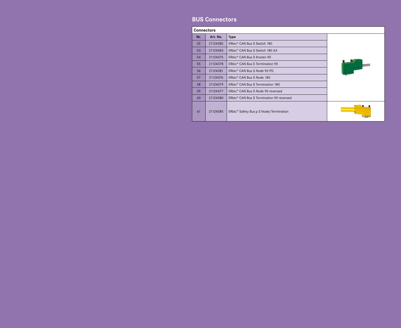#### **BUS Connectors**

|     | <b>Connectors</b> |                                                      |  |  |  |  |  |  |  |  |
|-----|-------------------|------------------------------------------------------|--|--|--|--|--|--|--|--|
| Nr. | Art. No.          | <b>Type</b>                                          |  |  |  |  |  |  |  |  |
| 52  | 21124082          | ERbic <sup>®</sup> CAN Bus S Switch 180              |  |  |  |  |  |  |  |  |
| 53  | 21124083          | ERbic® CAN Bus S Switch 180 AX                       |  |  |  |  |  |  |  |  |
| 54  | 21124075          | ERbic <sup>®</sup> CAN Bus S Knoten 90               |  |  |  |  |  |  |  |  |
| 55  | 21124078          | ERbic <sup>®</sup> CAN Bus S Termination 90          |  |  |  |  |  |  |  |  |
| 56  | 21124081          | ERbic® CAN Bus S Node 90 PG                          |  |  |  |  |  |  |  |  |
| 57  | 21124076          | ERbic <sup>®</sup> CAN Bus S Node 180                |  |  |  |  |  |  |  |  |
| 58  | 21124079          | ERbic <sup>®</sup> CAN Bus S Termination 180         |  |  |  |  |  |  |  |  |
| 59  | 21124077          | ERbic® CAN Bus S Node 90 reversed                    |  |  |  |  |  |  |  |  |
| 60  | 21124080          | ERbic <sup>®</sup> CAN Bus S Termination 90 reversed |  |  |  |  |  |  |  |  |
| 61  | 21124085          | ERbic <sup>®</sup> Safety Bus p S Node/Termination   |  |  |  |  |  |  |  |  |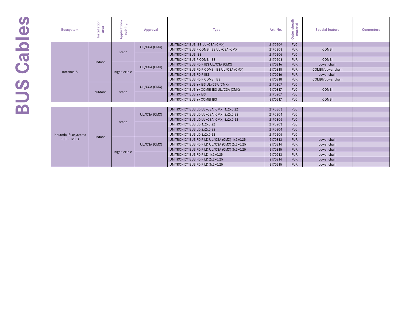# **SUS Cables BUS Cables**

| <b>Bussystem</b>             | Installation<br>area | Application/<br>cabling | Approval     | <b>Type</b>                                              | Art. No. | uter sheath<br>material<br>Outer | <b>Special feature</b> | <b>Connectors</b> |
|------------------------------|----------------------|-------------------------|--------------|----------------------------------------------------------|----------|----------------------------------|------------------------|-------------------|
|                              |                      |                         |              | UNITRONIC <sup>®</sup> BUS IBS UL/CSA (CMX)              | 2170209  | <b>PVC</b>                       |                        |                   |
|                              |                      | static                  | UL/CSA (CMX) | UNITRONIC <sup>®</sup> BUS P COMBI IBS UL/CSA (CMX)      | 2170808  | <b>PUR</b>                       | <b>COMBI</b>           |                   |
|                              |                      |                         |              | UNITRONIC <sup>®</sup> BUS IBS                           | 2170206  | <b>PVC</b>                       |                        |                   |
|                              | indoor               |                         |              | UNITRONIC <sup>®</sup> BUS P COMBI IBS                   | 2170208  | <b>PUR</b>                       | COMBI                  |                   |
|                              |                      |                         |              | UNITRONIC <sup>®</sup> BUS FD P IBS UL/CSA (CMX)         | 2170816  | <b>PUR</b>                       | power chain            |                   |
| InterBus-S                   |                      | high flexible           | UL/CSA (CMX) | UNITRONIC <sup>®</sup> BUS FD P COMBI IBS UL/CSA (CMX)   | 2170818  | <b>PUR</b>                       | COMBI/power chain      |                   |
|                              |                      |                         |              | UNITRONIC <sup>®</sup> BUS FD P IBS                      | 2170216  | <b>PUR</b>                       | power chain            |                   |
|                              |                      |                         |              | UNITRONIC <sup>®</sup> BUS FD P COMBI IBS                | 2170218  | <b>PUR</b>                       | COMBI/power chain      |                   |
|                              | outdoor              |                         | UL/CSA (CMX) | UNITRONIC <sup>®</sup> BUS Yv IBS UL/CSA (CMX)           | 2170807  | <b>PVC</b>                       |                        |                   |
|                              |                      |                         |              | UNITRONIC <sup>®</sup> BUS Yv COMBI IBS UL/CSA (CMX)     | 2170817  | <b>PVC</b>                       | <b>COMBI</b>           |                   |
|                              |                      | static                  |              | UNITRONIC <sup>®</sup> BUS Yv IBS                        | 2170207  | <b>PVC</b>                       |                        |                   |
|                              |                      |                         |              | UNITRONIC <sup>®</sup> BUS Yv COMBI IBS                  | 2170217  | <b>PVC</b>                       | <b>COMBI</b>           |                   |
|                              |                      |                         |              |                                                          |          |                                  |                        |                   |
|                              |                      |                         |              | UNITRONIC® BUS LD UL/CSA (CMX) 1x2x0,22                  | 2170803  | <b>PVC</b>                       |                        |                   |
|                              |                      |                         | UL/CSA (CMX) | UNITRONIC® BUS LD UL/CSA (CMX) 2x2x0,22                  | 2170804  | <b>PVC</b>                       |                        |                   |
|                              |                      |                         |              | UNITRONIC <sup>®</sup> BUS LD UL/CSA (CMX) 3x2x0,22      | 2170805  | <b>PVC</b>                       |                        |                   |
|                              |                      | static                  |              | UNITRONIC <sup>®</sup> BUS LD 1x2x0,22                   | 2170203  | <b>PVC</b>                       |                        |                   |
|                              |                      |                         |              | UNITRONIC <sup>®</sup> BUS LD 2x2x0,22                   | 2170204  | <b>PVC</b>                       |                        |                   |
| <b>Industrial Bussystems</b> |                      |                         |              | UNITRONIC <sup>®</sup> BUS LD 3x2x0,22                   | 2170205  | <b>PVC</b>                       |                        |                   |
| $100 - 120 \Omega$           | indoor               |                         |              | UNITRONIC <sup>®</sup> BUS FD P LD UL/CSA (CMX) 1x2x0,25 | 2170813  | <b>PUR</b>                       | power chain            |                   |
|                              |                      |                         | UL/CSA (CMX) | UNITRONIC® BUS FD P LD UL/CSA (CMX) 2x2x0,25             | 2170814  | <b>PUR</b>                       | power chain            |                   |
|                              |                      |                         |              | UNITRONIC <sup>®</sup> BUS FD P LD UL/CSA (CMX) 3x2x0,25 | 2170815  | <b>PUR</b>                       | power chain            |                   |
|                              |                      | high flexible           |              | UNITRONIC <sup>®</sup> BUS FD P LD 1x2x0,25              | 2170213  | <b>PUR</b>                       | power chain            |                   |
|                              |                      |                         |              | UNITRONIC <sup>®</sup> BUS FD P LD 2x2x0,25              | 2170214  | <b>PUR</b>                       | power chain            |                   |
|                              |                      |                         |              | UNITRONIC <sup>®</sup> BUS FD P LD 3x2x0,25              | 2170215  | <b>PUR</b>                       | power chain            |                   |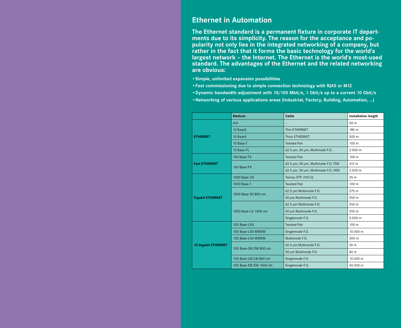## **Ethernet in Automation**

**The Ethernet standard is a permanent fixture in corporate IT departments due to its simplicity. The reason for the acceptance and popularity not only lies in the integrated networking of a company, but rather in the fact that it forms the basic technology for the world's largest network – the Internet. The Ethernet is the world's most-used standard. The advantages of the Ethernet and the related networking are obvious:** 

- **•Simple, unlimited expansion possibilities**
- **•Fast commissioning due to simple connection technology with RJ45 or M12**
- **•Dynamic bandwidth adjustment with 10/100 Mbit/s, 1 Gbit/s up to a current 10 Gbit/s**
- **•Networking of various applications areas (Industrial, Factory, Building, Automation, ...)**

|                            | <b>Medium</b>          | Cable                              | <b>Installation length</b> |
|----------------------------|------------------------|------------------------------------|----------------------------|
|                            | <b>AUI</b>             |                                    | 50 m                       |
|                            | 10 Base2               | Thin ETHERNET                      | 185 m                      |
| <b>ETHERNET</b>            | 10 Base5               | Thick ETHERNET                     | 500 m                      |
|                            | 10 Base-T              | <b>Twisted Pair</b>                | 100 <sub>m</sub>           |
|                            | 10 Base-FL             | 62.5 µm, 50 µm, Multimode F.O.     | 2.000 m                    |
|                            | 100 Base-TX            | <b>Twisted Pair</b>                | 100 m                      |
| <b>Fast ETHERNET</b>       | 100 Base-FX            | 62.5 µm, 50 µm, Multimode F.O. FDX | 412 m                      |
|                            |                        | 62.5 µm, 50 µm, Multimode F.O. HDX | 2.000 m                    |
|                            | 1000 Base-CX           | Twinax STP (150 $\Omega$ )         | 25 <sub>m</sub>            |
|                            | 1000 Base-T            | <b>Twisted Pair</b>                | 100 m                      |
|                            | 1000 Base-SX 850 nm    | 62.5 µm Multimode F.O.             | 275 m                      |
| <b>Gigabit ETHERNET</b>    |                        | 50 µm Multimode F.O.               | 550 m                      |
|                            |                        | 62.5 µm Multimode F.O.             | 550 m                      |
|                            | 1000 Base-LX 1300 nm   | 50 µm Multimode F.O.               | 550 m                      |
|                            |                        | Singlemode F.O.                    | 5.000 m                    |
|                            | 10G Base-LX4           | <b>Twisted Pair</b>                | 100 m                      |
|                            | 10G Base-LX4 WWDM      | Singlemode F.O.                    | 10.000 m                   |
|                            | 10G Base-LX4 WWDM      | Multimode F.O.                     | 300 m                      |
| <b>10 Gigabit ETHERNET</b> |                        | 62.5 µm Multimode F.O.             | 26 m                       |
|                            | 10G Base-SR/SW 850 nm  | 50 µm Multimode F.O.               | 82 m                       |
|                            | 10G Base-LR/LW 850 nm  | Singlemode F.O.                    | 10.000 m                   |
|                            | 10G Base-ER/EW 1550 nm | Singlemode F.O.                    | 40.000 m                   |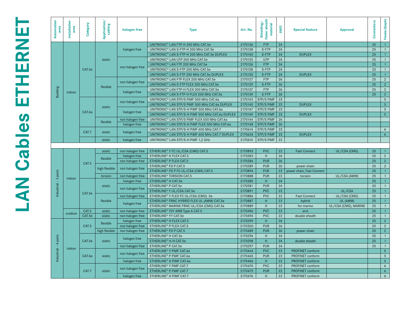| Automation<br>area | Installation<br>area | Category | Application/<br>cabling | halogen free                     | <b>Type</b>                                                                | Art. No.           | Outer sheath<br>Shielding,<br>material | AWG      | <b>Special feature</b>    | <b>Approval</b>      | Connectors | Female (Snapln) |
|--------------------|----------------------|----------|-------------------------|----------------------------------|----------------------------------------------------------------------------|--------------------|----------------------------------------|----------|---------------------------|----------------------|------------|-----------------|
|                    |                      |          |                         |                                  | UNITRONIC® LAN FTP-H 200 MHz CAT.5e                                        | 2170136            | <b>FTP</b>                             | 24       |                           |                      | 25         |                 |
|                    |                      |          |                         | halogen free                     | UNITRONIC® LAN S-FTP-H 200 MHz CAT.5e                                      | 2170138            | S-FTP                                  | 24       |                           |                      | 25         |                 |
|                    |                      |          |                         |                                  | UNITRONIC® LAN S-FTP-H 200 MHz CAT.5e DUPLEX                               | 2170140            | S-FTP                                  | 24       | <b>DUPLEX</b>             |                      | 25         |                 |
|                    |                      |          | static                  |                                  | UNITRONIC® LAN UTP 200 MHz CAT.5e                                          | 2170125            | <b>UTP</b>                             | 24       |                           |                      | 25         |                 |
|                    |                      |          |                         |                                  | UNITRONIC® LAN FTP 200 MHz CAT.5e                                          | 2170126            | <b>FTP</b>                             | 24       |                           |                      | 25         |                 |
|                    |                      | CAT.5e   |                         | non halogen free                 | UNITRONIC® LAN S-FTP 200 MHz CAT.5e                                        | 2170128            | S-FTP                                  | 24       |                           |                      | 25         |                 |
|                    |                      |          |                         |                                  | UNITRONIC® LAN S-FTP 200 MHz CAT.5e DUPLEX                                 | 2170130            | S-FTP                                  | 24       | <b>DUPLEX</b>             |                      | 25         |                 |
|                    |                      |          |                         | non halogen free                 | UNITRONIC® LAN FTP FLEX 200 MHz CAT.5e                                     | 2170127            | <b>FTP</b>                             | 26       |                           |                      | 25         | $\overline{2}$  |
|                    |                      |          | flexible                |                                  | UNITRONIC® LAN S-FTP FLEX 200 MHz CAT.5e                                   | 2170129            | S-FTP                                  | 26       |                           |                      | 25         | $\overline{2}$  |
| <b>Building</b>    | indoor               |          |                         | halogen free                     | UNITRONIC® LAN FTP-H FLEX 200 MHz CAT.5e                                   | 2170137            | <b>FTP</b>                             | 26       |                           |                      | 25         | $\overline{2}$  |
|                    |                      |          |                         |                                  | UNITRONIC® LAN S-FTP-H FLEX 200 MHz CAT.5e                                 | 2170139            | S-FTP                                  | 26       |                           |                      | 25         | 2 <sup>2</sup>  |
|                    |                      |          | static                  | non halogen free                 | UNITRONIC® LAN STP/S PIMF 500 MHz CAT.6a                                   | 2170143            | STP/S PiMF                             | 23       |                           |                      |            | $\sqrt{5}$      |
|                    |                      |          |                         |                                  | UNITRONIC® LAN STP/S PIMF 500 MHz CAT.6a DUPLEX                            | 2170145            | STP/S PIMF                             | 23       | <b>DUPLEX</b>             |                      |            | $5\overline{)}$ |
|                    |                      | CAT.6a   |                         | halogen free                     | UNITRONIC® LAN STP/S-H PIMF 500 MHz CAT.6a                                 | 2170147            | STP/S PIMF                             | 23       |                           |                      |            | $\sqrt{5}$      |
|                    |                      |          |                         |                                  | UNITRONIC® LAN STP/S-H PIMF 500 MHz CAT.6a DUPLEX                          | 2170149            | STP/S PIMF                             | 23       | <b>DUPLEX</b>             |                      |            | 5 <sup>5</sup>  |
|                    |                      |          | flexible                | non halogen free                 | UNITRONIC® LAN STP/S PIMF FLEX 500 MHz CAT.6a                              | 2170144            | STP/S PIMF                             | 26       |                           |                      |            |                 |
|                    |                      |          |                         | halogen free                     | UNITRONIC® LAN STP/S-H PIMF FLEX 500 MHz CAT.6a                            | 2170148            | STP/S PIMF                             | 26       |                           |                      |            |                 |
|                    |                      | CAT.7    | static                  | halogen free                     | UNITRONIC® LAN STP/S-H PIMF 600 MHz CAT.7                                  | 2170614            | STP/S PIMF                             | 23       |                           |                      |            | 6               |
|                    |                      |          |                         |                                  | UNITRONIC® LAN STP/S-H PIMF 600 MHz CAT.7 DUPLEX                           | 2170634            | STP/S PIMF                             | 23       | <b>DUPLEX</b>             |                      |            | 6 <sup>6</sup>  |
|                    |                      |          | static                  | halogen free                     | UNITRONIC® LAN STP/S-H PIMF 1,2 GHz                                        | 2170615            | STP/S PiMF                             | 22       |                           |                      |            |                 |
|                    |                      |          |                         |                                  |                                                                            |                    |                                        |          |                           |                      |            |                 |
|                    |                      |          |                         |                                  |                                                                            |                    |                                        |          |                           |                      |            |                 |
|                    |                      |          | static                  | non halogen free                 | ETHERLINE® Y FC UL/CSA (CMG) CAT.5                                         | 2170893            | <b>PVC</b>                             | 22       | <b>Fast Connect</b>       | UL/CSA (CMG)         | 25         |                 |
|                    |                      |          |                         | halogen free                     | ETHERLINE <sup>®</sup> H FLEX CAT.5                                        | 2170283            | H                                      | 26       |                           |                      | 25         | $\overline{2}$  |
|                    |                      |          | flexible                | non halogen free                 | ETHERLINE <sup>®</sup> P FLEX CAT.5                                        | 2170284            | <b>PUR</b>                             | 26       |                           |                      | 25         | $\overline{2}$  |
|                    |                      | CAT.5    |                         |                                  | ETHERLINE <sup>®</sup> FD P CAT.5                                          | 2170289            | <b>PUR</b>                             | 26       | power chain               |                      | 25         | $\overline{2}$  |
|                    |                      |          | high flexible           | non halogen free                 | ETHERLINE® FD P FC UL/CSA (CMX) CAT.5                                      | 2170894            | <b>PUR</b>                             | 22       | power chain, Fast Connect |                      | 25         |                 |
| pairs              |                      |          | torsion                 | non halogen free                 | ETHERLINE <sup>®</sup> TORSION CAT.5                                       | 2170888            | <b>PUR</b>                             | 22       | torsion                   | UL/CSA (AWM)         | 25         |                 |
| $\sim$<br>-11      | indoor               |          |                         | halogen free                     | ETHERLINE <sup>®</sup> H CAT.5e                                            | 2170280            | H                                      | 24       |                           |                      | 25         |                 |
|                    |                      |          | static                  |                                  | ETHERLINE <sup>®</sup> P CAT.5e                                            | 2170281            | <b>PUR</b>                             | 24       |                           |                      | 25         |                 |
|                    |                      |          |                         | non halogen free                 | ETHERLINE® Y UL/CSA CAT.5e                                                 | 2170891            | <b>PVC</b>                             | 22       |                           | UL/CSA               | 25         |                 |
| dustrial<br>흑.     |                      | CAT.5e   |                         | non halogen free                 | ETHERLINE <sup>®</sup> Y FLEX FC UL/CSA (CMG) .5e                          | 2170886            | <b>PVC</b>                             | 22       | <b>Fast Connect</b>       | UL/CSA (CMG)         | 25         |                 |
|                    |                      |          | flexible                |                                  | ETHERLINE® FRNC HYBRID FLEX UL (AWM) CAT.5e                                | 2170887            | H.                                     | 22       | hybrid                    | UL (AWM)             | 25         |                 |
|                    |                      |          |                         | halogen free                     | ETHERLINE <sup>®</sup> MARINE FRNC UL/CSA (CMG) CAT.5e                     | 2170889            | H                                      | 22       | for marine                | UL/CSA (CMG), MARINE | 25         |                 |
|                    |                      | CAT.5    | static                  | non halogen free                 | ETHERLINE® Y2Y ARM Type A CAT.5                                            | 2170496            | <b>PVC</b>                             | 22       | arm                       |                      | 25         |                 |
|                    | outdoor              | CAT.5e   | static                  | non halogen free                 | ETHERLINE <sup>®</sup> YY CAT.5e                                           | 2170494            | <b>PVC</b>                             | 22       | double sheath             |                      | 25         |                 |
|                    |                      |          |                         | halogen free                     | ETHERLINE <sup>®</sup> H FLEX CAT.5                                        | 2170299            | H                                      | 26       |                           |                      | 25         | $2^{\circ}$     |
|                    |                      | CAT.5    | flexible                | non halogen free                 | ETHERLINE <sup>®</sup> P FLEX CAT.5                                        | 2170300            | <b>PUR</b>                             | 26       |                           |                      | 25         | $\overline{2}$  |
|                    |                      |          | high flexible           | non halogen free                 | ETHERLINE <sup>®</sup> FD P CAT.5                                          | 2170489            | <b>PUR</b>                             | 26       | power chain               |                      | 25         | $\overline{2}$  |
|                    |                      |          |                         |                                  | ETHERLINE <sup>®</sup> H CAT.5e                                            | 2170296            | H                                      | 24       |                           |                      | 25         |                 |
| pairs              |                      | CAT.5e   | static                  | halogen free                     | ETHERLINE <sup>®</sup> H-H CAT.5e                                          | 2170298            | H                                      | 24       | double sheath             |                      | 25         | $\mathbf{1}$    |
| 4                  |                      |          |                         | non halogen free                 | ETHERLINE <sup>®</sup> P CAT.5e                                            | 2170297            | <b>PUR</b>                             | 24       |                           |                      | 25         |                 |
|                    | indoor               |          |                         |                                  | ETHERLINE <sup>®</sup> Y PIMF CAT.6a                                       | 2170464            | <b>PVC</b>                             | 22       | PROFINET conform          |                      |            | $5\phantom{.0}$ |
|                    |                      | CAT.6a   | static                  | non halogen free                 | ETHERLINE® P PIMF CAT.6a                                                   | 2170465            | <b>PUR</b>                             | 22       | PROFINET conform          |                      |            | $5\overline{)}$ |
| Industrial         |                      |          |                         | halogen free                     | ETHERLINE <sup>®</sup> H PIMF CAT.6a                                       | 2170466            | H                                      | 22       | PROFINET conform          |                      |            | $5\overline{5}$ |
|                    |                      |          |                         |                                  | ETHERLINE <sup>®</sup> Y PIMF CAT.7                                        | 2170474            | <b>PVC</b>                             | 22       | PROFINET conform          |                      |            | 6               |
|                    |                      | CAT.7    | static                  | non halogen free<br>halogen free | ETHERLINE <sup>®</sup> P PIMF CAT.7<br>ETHERLINE <sup>®</sup> H PIMF CAT.7 | 2170475<br>2170476 | <b>PUR</b><br>H                        | 22<br>22 | <b>PROFINET conform</b>   |                      |            | $\overline{6}$  |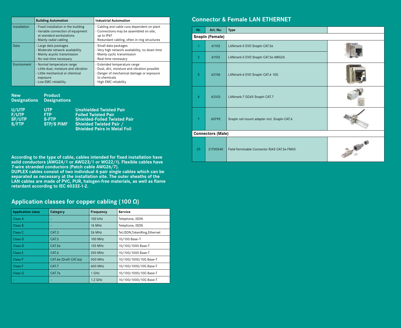|              | <b>Building Automation</b>                                                                                                                  | <b>Industrial Automation</b>                                                                                                                                         |
|--------------|---------------------------------------------------------------------------------------------------------------------------------------------|----------------------------------------------------------------------------------------------------------------------------------------------------------------------|
| Installation | - Fixed installation in the building<br>- Variable connection of equipment<br>at standard workstations<br>- Mainly radial cabling           | - Cabling and cable runs dependent on plant<br>- Connections may be assembled on site,<br>up to IP67<br>- Redundant cabling, often in ring structures                |
| Data         | - Large data packages<br>- Moderate network availability<br>- Mainly acyclic transmission<br>- No real-time necessary                       | - Small data packages<br>- Very high network availability, no down time<br>- Mainly cyclic transmission<br>- Real-time necessary                                     |
| Environment  | - Normal temperature range<br>- Little dust, moisture and vibration<br>- Little mechanical or chemical<br>exposure<br>- Low EMC reliability | - Extended temperature range<br>- Dust, dirt, moisture and vibration possible<br>- Danger of mechanical damage or exposure<br>to chemicals<br>- High EMC reliability |

**New Product Designations Designations**

| U/UTP         | <b>UTP</b>        | Unshielded Twisted Pair             |
|---------------|-------------------|-------------------------------------|
| <b>F/UTP</b>  | <b>FTP</b>        | <b>Foiled Twisted Pair</b>          |
| <b>SF/UTP</b> | <b>S-FTP</b>      | <b>Shielded-Foiled Twisted Pair</b> |
| S/FTP         | <b>STP/S PIMF</b> | <b>Shielded Twisted Pair /</b>      |
|               |                   | <b>Shielded Pairs in Metal Foil</b> |

**According to the type of cable, cables intended for fixed installation have solid conductors (AWG24/1 or AWG23/1 or WG22/1). Flexible cables have 7-wire stranded conductors (Patch cable AWG26/7).** 

**DUPLEX cables consist of two individual 4-pair single cables which can be separated as necessary at the installation site. The outer sheaths of the LAN cables are made of PVC, PUR, halogen-free materials, as well as flame retardant according to IEC 60332-1-2.**

#### **Application classes for copper cabling (100 Ω)**

| <b>Application class</b> | Category              | <b>Frequency</b> | <b>Service</b>                  |
|--------------------------|-----------------------|------------------|---------------------------------|
| Class A                  |                       | 100 kHz          | Telephone, ISDN                 |
| Class B                  | -                     | <b>16 MHz</b>    | Telephone, ISDN                 |
| Class C                  | CAT.3                 | 26 MHz           | Tel, ISDN, Token Ring, Ethernet |
| Class D                  | CAT.5                 | 100 MHz          | 10/100 Base-T                   |
| Class D                  | CAT.5e                | 125 MHz          | 10/100/1000 Base-T              |
| Class E                  | CAT.6                 | 250 MHz          | 10/100/1000 Base-T              |
| Class F                  | CAT.6e (Draft CAT.6a) | 500 MHz          | 10/100/1000/10G Base-T          |
| Class F                  | CAT.7                 | 600 MHz          | 10/100/1000/10G Base-T          |
| Class G                  | CAT.7a                | 1 GHz            | 10/100/1000/10G Base-T          |
|                          |                       | $1.2$ GHz        | 10/100/1000/10G Base-T          |

#### **Connector & Female LAN ETHERNET**

| Nr.            | Art. No.                 | <b>Type</b>                                  |                 |
|----------------|--------------------------|----------------------------------------------|-----------------|
|                | <b>Snapln (Female)</b>   |                                              |                 |
| 1              | 61103                    | LANmark-5 EVO SnapIn CAT.5e                  |                 |
| $\overline{2}$ | 61102                    | LANmark-5 EVO SnapIn CAT.5e AWG26            |                 |
| 5              | 62106                    | LANmark-6 EVO SnapIn CAT.6 10G               |                 |
| 6              | 63103                    | LANmark-7 GG45 SnapIn CAT.7                  |                 |
| $\overline{7}$ | 60795                    | Snapln rail mount adapter incl. Snapln CAT.6 |                 |
|                | <b>Connectors (Male)</b> |                                              |                 |
| 25             | 21700540                 | Field-Terminable Connector RJ45 CAT.5e FM45  | <b>Burchard</b> |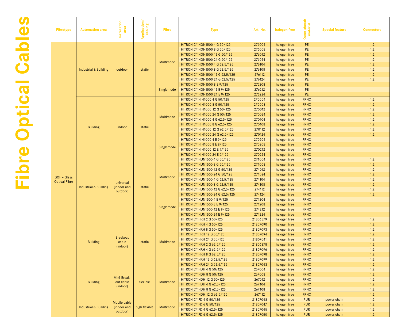| Fibretype            | <b>Automation area</b>           | Installation<br>area        | Application/<br>cabling | <b>Fibre</b> | <b>Type</b>                                      | Art. No. | halogen free | uter sheath<br>material<br>Outer | <b>Special feature</b> | <b>Connectors</b> |
|----------------------|----------------------------------|-----------------------------|-------------------------|--------------|--------------------------------------------------|----------|--------------|----------------------------------|------------------------|-------------------|
|                      |                                  |                             |                         |              | <b>HITRONIC<sup>®</sup> HQN1500 4 G 50/125</b>   | 276004   | halogen free | <b>PE</b>                        |                        | 1,2               |
|                      |                                  |                             |                         |              | <b>HITRONIC<sup>®</sup> HQN1500 8 G 50/125</b>   | 276008   | halogen free | <b>PE</b>                        |                        | 1,2               |
|                      |                                  |                             |                         |              | HITRONIC <sup>®</sup> HQN1500 12 G 50/125        | 276012   | halogen free | PE                               |                        | 1,2               |
|                      |                                  |                             |                         |              | HITRONIC <sup>®</sup> HQN1500 24 G 50/125        | 276024   |              | PE                               |                        |                   |
|                      |                                  |                             |                         | Multimode    |                                                  |          | halogen free |                                  |                        | 1,2               |
|                      |                                  |                             |                         |              | HITRONIC <sup>®</sup> HQN1500 4 G 62,5/125       | 276104   | halogen free | PE                               |                        | 1,2               |
|                      | <b>Industrial &amp; Building</b> | outdoor                     | static                  |              | HITRONIC <sup>®</sup> HQN1500 8 G 62,5/125       | 276108   | halogen free | PE                               |                        | 1,2               |
|                      |                                  |                             |                         |              | HITRONIC <sup>®</sup> HQN1500 12 G 62,5/125      | 276112   | halogen free | PE                               |                        | 1,2               |
|                      |                                  |                             |                         |              | HITRONIC <sup>®</sup> HQN1500 24 G 62,5/125      | 276124   | halogen free | <b>PE</b>                        |                        | 1,2               |
|                      |                                  |                             |                         |              | <b>HITRONIC<sup>®</sup> HQN1500 8 E 9/125</b>    | 276208   | halogen free | PE                               |                        |                   |
|                      |                                  |                             |                         | Singlemode   | <b>HITRONIC<sup>®</sup> HQN1500 12 E 9/125</b>   | 276212   | halogen free | PE                               |                        |                   |
|                      |                                  |                             |                         |              | <b>HITRONIC<sup>®</sup> HQN1500 24 E 9/125</b>   | 276224   | halogen free | PE                               |                        |                   |
|                      |                                  |                             |                         |              | <b>HITRONIC<sup>®</sup> HIH1000 4 G 50/125</b>   | 270004   | halogen free | <b>FRNC</b>                      |                        | 1,2               |
|                      |                                  |                             |                         |              | <b>HITRONIC<sup>®</sup> HIH1000 8 G 50/125</b>   | 270008   | halogen free | <b>FRNC</b>                      |                        | 1,2               |
|                      |                                  |                             |                         |              | HITRONIC <sup>®</sup> HIH1000 12 G 50/125        | 270012   | halogen free | <b>FRNC</b>                      |                        | 1,2               |
|                      |                                  |                             |                         |              | <b>HITRONIC<sup>®</sup> HIH1000 24 G 50/125</b>  | 270024   | halogen free | <b>FRNC</b>                      |                        | 1,2               |
|                      |                                  |                             |                         | Multimode    | <b>HITRONIC<sup>®</sup> HIH1000 4 G 62,5/125</b> | 270104   | halogen free | <b>FRNC</b>                      |                        | 1,2               |
|                      |                                  |                             |                         |              | HITRONIC <sup>®</sup> HIH1000 8 G 62,5/125       | 270108   | halogen free | <b>FRNC</b>                      |                        | 1,2               |
|                      | <b>Building</b>                  | indoor                      | static                  | Singlemode   | HITRONIC <sup>®</sup> HIH1000 12 G 62,5/125      | 270112   | halogen free | <b>FRNC</b>                      |                        | 1,2               |
|                      |                                  |                             |                         |              | HITRONIC <sup>®</sup> HIH1000 24 G 62,5/125      | 270124   | halogen free | <b>FRNC</b>                      |                        | 1,2               |
|                      |                                  |                             |                         |              | <b>HITRONIC<sup>®</sup> HIH1000 4 E 9/125</b>    | 270204   | halogen free | <b>FRNC</b>                      |                        |                   |
|                      |                                  |                             |                         |              | <b>HITRONIC<sup>®</sup> HIH1000 8 E 9/125</b>    | 270208   | halogen free | <b>FRNC</b>                      |                        |                   |
|                      |                                  |                             |                         |              | <b>HITRONIC<sup>®</sup> HIH1000 12 E 9/125</b>   | 270212   | halogen free | <b>FRNC</b>                      |                        |                   |
|                      |                                  |                             |                         |              |                                                  |          |              |                                  |                        |                   |
|                      |                                  |                             |                         |              | <b>HITRONIC<sup>®</sup> HIH1000 24 E 9/125</b>   | 270224   | halogen free | <b>FRNC</b>                      |                        |                   |
|                      |                                  |                             |                         |              | <b>HITRONIC<sup>®</sup> HUN1500 4 G 50/125</b>   | 274004   | halogen free | <b>FRNC</b>                      |                        | 1,2               |
|                      |                                  |                             |                         |              | <b>HITRONIC® HUN1500 8 G 50/125</b>              | 274008   | halogen free | <b>FRNC</b>                      |                        | 1,2               |
|                      |                                  |                             |                         | Multimode    | HITRONIC <sup>®</sup> HUN1500 12 G 50/125        | 274012   | halogen free | <b>FRNC</b>                      |                        | 1,2               |
| GOF - Glass          |                                  |                             |                         |              | HITRONIC <sup>®</sup> HUN1500 24 G 50/125        | 274024   | halogen free | <b>FRNC</b>                      |                        | 1,2               |
| <b>Optical Fibre</b> |                                  | universal                   |                         |              | HITRONIC <sup>®</sup> HUN1500 4 G 62,5/125       | 274104   | halogen free | <b>FRNC</b>                      |                        | 1,2               |
|                      | <b>Industrial &amp; Building</b> | (indoor and                 | static                  |              | HITRONIC <sup>®</sup> HUN1500 8 G 62,5/125       | 274108   | halogen free | <b>FRNC</b>                      |                        | 1,2               |
|                      |                                  | outdoor)                    |                         |              | HITRONIC <sup>®</sup> HUN1500 12 G 62,5/125      | 274112   | halogen free | <b>FRNC</b>                      |                        | 1,2               |
|                      |                                  |                             |                         |              | HITRONIC <sup>®</sup> HUN1500 24 G 62,5/125      | 274124   | halogen free | FRNC                             |                        | 1,2               |
|                      |                                  |                             |                         |              | <b>HITRONIC<sup>®</sup> HUN1500 4 E 9/125</b>    | 274204   | halogen free | <b>FRNC</b>                      |                        |                   |
|                      |                                  |                             |                         | Singlemode   | <b>HITRONIC<sup>®</sup> HUN1500 8 E 9/125</b>    | 274208   | halogen free | <b>FRNC</b>                      |                        |                   |
|                      |                                  |                             |                         |              | <b>HITRONIC<sup>®</sup> HUN1500 12 E 9/125</b>   | 274212   | halogen free | <b>FRNC</b>                      |                        |                   |
|                      |                                  |                             |                         |              | <b>HITRONIC<sup>®</sup> HUN1500 24 E 9/125</b>   | 274224   | halogen free | <b>FRNC</b>                      |                        |                   |
|                      |                                  |                             |                         |              | HITRONIC <sup>®</sup> HRH 2 G 50/125             | 21806879 | halogen free | <b>FRNC</b>                      |                        | 1,2               |
|                      |                                  |                             |                         |              | HITRONIC <sup>®</sup> HRH 4 G 50/125             | 21807090 | halogen free | <b>FRNC</b>                      |                        | 1,2               |
|                      |                                  |                             |                         |              | HITRONIC <sup>®</sup> HRH 8 G 50/125             | 21807093 | halogen free | <b>FRNC</b>                      |                        | 1,2               |
|                      |                                  |                             |                         |              | HITRONIC <sup>®</sup> HRH 12 G 50/125            | 21807094 | halogen free | <b>FRNC</b>                      |                        | 1,2               |
|                      |                                  | <b>Breakout</b>             |                         |              | HITRONIC <sup>®</sup> HRH 24 G 50/125            | 21807041 | halogen free | <b>FRNC</b>                      |                        | 1,2               |
|                      | <b>Building</b>                  | cable                       | static                  | Multimode    | HITRONIC <sup>®</sup> HRH 2 G 62,5/125           | 21806878 | halogen free | <b>FRNC</b>                      |                        | 1,2               |
|                      |                                  | (indoor)                    |                         |              | HITRONIC <sup>®</sup> HRH 4 G 62,5/125           | 21807096 | halogen free | <b>FRNC</b>                      |                        | 1,2               |
|                      |                                  |                             |                         |              | HITRONIC <sup>®</sup> HRH 8 G 62,5/125           | 21807098 | halogen free | <b>FRNC</b>                      |                        | 1,2               |
|                      |                                  |                             |                         |              |                                                  |          |              | <b>FRNC</b>                      |                        |                   |
|                      |                                  |                             |                         |              | <b>HITRONIC<sup>®</sup> HRH 12 G 62,5/125</b>    | 21807099 | halogen free |                                  |                        | 1,2               |
|                      |                                  |                             |                         |              | <b>HITRONIC<sup>®</sup> HRH 24 G 62,5/125</b>    | 21807043 | halogen free | <b>FRNC</b>                      |                        | 1,2               |
|                      |                                  |                             |                         |              | HITRONIC <sup>®</sup> HDH 4 G 50/125             | 267004   | halogen free | <b>FRNC</b>                      |                        | 1,2               |
|                      |                                  | Mini-Break-                 |                         |              | HITRONIC <sup>®</sup> HDH 8 G 50/125             | 267008   | halogen free | <b>FRNC</b>                      |                        | 1,2               |
|                      | <b>Building</b>                  | out cable                   | flexible                | Multimode    | HITRONIC <sup>®</sup> HDH 12 G 50/125            | 267012   | halogen free | <b>FRNC</b>                      |                        | 1,2               |
|                      |                                  | (indoor)                    |                         |              | HITRONIC <sup>®</sup> HDH 4 G 62,5/125           | 267104   | halogen free | <b>FRNC</b>                      |                        | 1,2               |
|                      |                                  |                             |                         |              | HITRONIC <sup>®</sup> HDH 8 G 62,5/125           | 267108   | halogen free | <b>FRNC</b>                      |                        | 1,2               |
|                      |                                  |                             |                         |              | <b>HITRONIC<sup>®</sup> HDH 12 G 62,5/125</b>    | 267112   | halogen free | <b>FRNC</b>                      |                        | 1,2               |
|                      |                                  |                             |                         |              | HITRONIC <sup>®</sup> FD 4 G 50/125              | 21807048 | halogen free | <b>PUR</b>                       | power chain            | 1,2               |
|                      | <b>Industrial &amp; Building</b> | Mobile cable<br>(indoor and | high flexible           | Multimode    | HITRONIC <sup>®</sup> FD 6 G 50/125              | 21807047 | halogen free | <b>PUR</b>                       | power chain            | 1,2               |
|                      |                                  | outdoor)                    |                         |              | <b>HITRONIC® FD 4 G 62,5/125</b>                 | 21807045 | halogen free | <b>PUR</b>                       | power chain            | 1,2               |
|                      |                                  |                             |                         |              | <b>HITRONIC® FD 6 G 62,5/125</b>                 | 21807050 | halogen free | <b>PUR</b>                       | power chain            | 1,2               |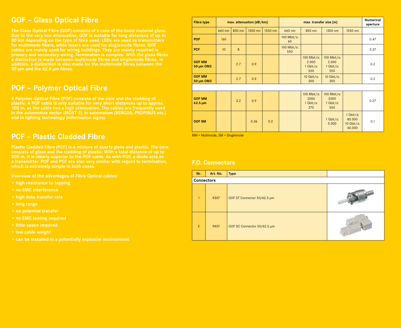## **GOF – Glass Optical Fibre**

**The Glass Optical Fibre (GOF) consists of a core of the basic material glass. Due to the very low attenuation, GOF is suitable for long distances of up to 80 km depending on the type of fibre used. LEDs are used as transmitters for multimode fibers, while lasers are used for singlemode fibres. GOF cables are mainly used for wiring buildings. They are mainly required in primary and secondary wiring. Termination is complex. With the glass fibres a distinction is made between multimode fibres and singlemode fibres. In addition, a distinction is also made for the multimode fibres between the 50 µm and the 62.5 µm fibres.**

## **POF – Polymer Optical Fibre**

**A Polymer Optical Fibre (POF) consists of the core and the cladding of plastic. A POF cable is only suitable for very short distances up to approx. 100 m, as the cable has a high attenuation. The cables are frequently used in the automotive sector (MOST 2), in automation (SERCOS, PROFIBUS etc.) and in lighting technology (information signs).**

## **PCF – Plastic Cladded Fibre**

**Plastic Cladded Fibre (PCF) is a mixture of quartz glass and plastic. The core consists of glass and the cladding of plastic. With a total distance of up to 500 m, it is clearly superior to the POF cable. As with POF, a diode acts as a transmitter. POF and PCF are also very similar with regard to termination, which is extremely simple in both cases.**

**Overview of the advantages of Fibre Optical cables:**

- **high resistance to tapping**
- **no EMC interference**
- **high data transfer rate**
- **long range**
- **no potential transfer**
- **no EMC testing required**
- **little space required**
- **low cable weight**
- **can be installed in a potentially explosive environment**

| <b>Fibre type</b>                          |                 |        | max. attenuation [dB/km] |         | max. transfer size [m] |                                            |                                            |                                                 | <b>Numerical</b><br>aperture |
|--------------------------------------------|-----------------|--------|--------------------------|---------|------------------------|--------------------------------------------|--------------------------------------------|-------------------------------------------------|------------------------------|
|                                            | 660 nm          | 850 nm | 1300 nm                  | 1550 nm | 660 nm                 | 850 nm                                     | 1300 nm                                    | 1550 nm                                         |                              |
| <b>POF</b>                                 | 160             |        |                          |         | 100 Mbit/s:<br>60      |                                            |                                            |                                                 | 0.47                         |
| <b>PCF</b>                                 | 10 <sup>°</sup> | 8      |                          |         | 100 Mbit/s:<br>550     |                                            |                                            |                                                 | 0.37                         |
| <b>GOF MM</b><br>50 µm OM2                 |                 | 2.7    | 0.9                      |         |                        | 100 Mbit/s:<br>2.000<br>$1$ Gbit/s:<br>550 | 100 Mbit/s:<br>2.000<br>$1$ Gbit/s:<br>550 |                                                 | 0.2                          |
| <b>GOF MM</b><br>50 µm OM3                 |                 | 2.7    | 0.9                      |         |                        | $10$ Gbit/s:<br>300                        | 10 $Gbit/s$ :<br>300                       |                                                 | 0.2                          |
|                                            |                 |        |                          |         |                        |                                            |                                            |                                                 |                              |
| <b>GOF MM</b><br>$62.5 \,\mathrm{\upmu m}$ |                 | 3.2    | 0.9                      |         |                        | 100 Mbit/s:<br>2000<br>1 Gbit/s:<br>275    | 100 Mbit/s:<br>2000<br>1 Gbit/s:<br>550    |                                                 | 0.27                         |
| <b>GOF SM</b>                              |                 |        | 0.36                     | 0.2     |                        |                                            | 1 Gbit/s:<br>5.000                         | $1$ Gbit/s:<br>80.000<br>$10$ Gbit/s:<br>40.000 | 0.1                          |

MM = Multimode, SM = Singlemode

#### **F.O. Connectors**

| Nr.               | Art. No. | <b>Type</b>                 |  |  |  |  |  |  |  |
|-------------------|----------|-----------------------------|--|--|--|--|--|--|--|
| <b>Connectors</b> |          |                             |  |  |  |  |  |  |  |
| $\mathbf{1}$      | 9307     | GOF ST Connector 50/62.5 µm |  |  |  |  |  |  |  |
| 2                 | 9407     | GOF SC Connector 50/62.5 µm |  |  |  |  |  |  |  |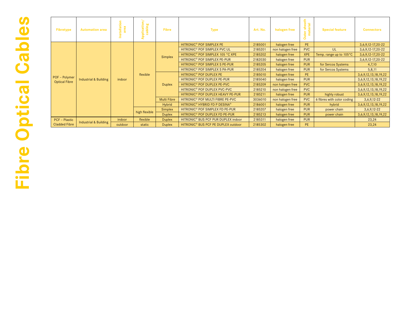| <b>Fibretype</b>                      | <b>Automation area</b>           | tallation<br>$\overline{\mathbf{c}}$ | Application <sub>/</sub><br>cabling | <b>Fibre</b>       | <b>Type</b>                                           | Art. No. | halogen free     | sheath<br>erial<br>Outer<br>Ε | <b>Special feature</b>     | <b>Connectors</b>           |
|---------------------------------------|----------------------------------|--------------------------------------|-------------------------------------|--------------------|-------------------------------------------------------|----------|------------------|-------------------------------|----------------------------|-----------------------------|
|                                       |                                  | indoor                               | flexible                            | Simplex            | HITRONIC <sup>®</sup> POF SIMPLEX PE                  | 2185001  | halogen free     | PE.                           |                            | 3, 6, 9, 12 - 17, 20 - 22   |
|                                       |                                  |                                      |                                     |                    | HITRONIC <sup>®</sup> POF SIMPLEX PVC UL              | 2185201  | non halogen free | <b>PVC</b>                    | <b>UL</b>                  | 3, 6, 9, 12 - 17, 20 - 22   |
|                                       |                                  |                                      |                                     |                    | HITRONIC <sup>®</sup> POF SIMPLEX 105 °C XPE          | 2185202  | halogen free     | <b>XPE</b>                    | Temp. range up to 105°C    | 3, 6, 9, 12 - 17, 20 - 22   |
|                                       |                                  |                                      |                                     |                    | HITRONIC <sup>®</sup> POF SIMPLEX PE-PUR              | 2182030  | halogen free     | <b>PUR</b>                    |                            | 3, 6, 9, 12 - 17, 20 - 22   |
|                                       | <b>Industrial &amp; Building</b> |                                      |                                     |                    | HITRONIC <sup>®</sup> POF SIMPLEX S PE-PUR            | 2185205  | halogen free     | <b>PUR</b>                    | for Sercos Systems         | 4,7,10                      |
|                                       |                                  |                                      |                                     |                    | HITRONIC <sup>®</sup> POF SIMPLEX S PA-PUR            | 2185204  | halogen free     | <b>PUR</b>                    | for Sercos Systems         | 5,8,11                      |
|                                       |                                  |                                      |                                     | <b>Duplex</b>      | HITRONIC <sup>®</sup> POF DUPLEX PE                   | 2185010  | halogen free     | PE.                           |                            | 3, 6, 9, 12, 13, 18, 19, 22 |
| POF - Polymer<br><b>Optical Fibre</b> |                                  |                                      |                                     |                    | HITRONIC <sup>®</sup> POF DUPLEX PE-PUR               | 2185040  | halogen free     | <b>PUR</b>                    |                            | 3, 6, 9, 12, 13, 18, 19, 22 |
|                                       |                                  |                                      |                                     |                    | HITRONIC <sup>®</sup> POF DUPLEX PE-PVC               | 2185209  | non halogen free | <b>PVC</b>                    |                            | 3, 6, 9, 12, 13, 18, 19, 22 |
|                                       |                                  |                                      |                                     |                    | HITRONIC <sup>®</sup> POF DUPLEX PVC-PVC              | 2185210  | non halogen free | <b>PVC</b>                    |                            | 3, 6, 9, 12, 13, 18, 19, 22 |
|                                       |                                  |                                      |                                     |                    | HITRONIC <sup>®</sup> POF DUPLEX HEAVY PE-PUR         | 2185211  | halogen free     | <b>PUR</b>                    | highly robust              | 3, 6, 9, 12, 13, 18, 19, 22 |
|                                       |                                  |                                      |                                     | <b>Multi Fibre</b> | HITRONIC <sup>®</sup> POF MULTI FIBRE PE-PVC          | 3036010  | non halogen free | <b>PVC</b>                    | 6 fibres with color coding | $3,6,9,12-22$               |
|                                       |                                  |                                      |                                     | Hybrid             | HITRONIC <sup>®</sup> HYBRID FD P DESINA <sup>®</sup> | 2186001  | halogen free     | <b>PUR</b>                    | hybrid                     | 3, 6, 9, 12, 13, 18, 19, 22 |
|                                       |                                  |                                      | high flexible                       | Simplex            | HITRONIC <sup>®</sup> POF SIMPLEX FD PE-PUR           | 2185207  | halogen free     | <b>PUR</b>                    | power chain                | $3,6,9,12-22$               |
|                                       |                                  |                                      |                                     | <b>Duplex</b>      | HITRONIC <sup>®</sup> POF DUPLEX FD PE-PUR            | 2185213  | halogen free     | <b>PUR</b>                    | power chain                | 3, 6, 9, 12, 13, 18, 19, 22 |
| <b>PCF - Plastic</b>                  | <b>Industrial &amp; Building</b> | indoor                               | flexible                            | <b>Duplex</b>      | HITRONIC <sup>®</sup> BUS PCF PUR DUPLEX indoor       | 2185311  | halogen free     | <b>PUR</b>                    |                            | 23,24                       |
| <b>Cladded Fibre</b>                  |                                  | outdoor                              | static                              | <b>Duplex</b>      | HITRONIC <sup>®</sup> BUS PCF PE DUPLEX outdoor       | 2185302  | halogen free     | PE.                           |                            | 23,24                       |